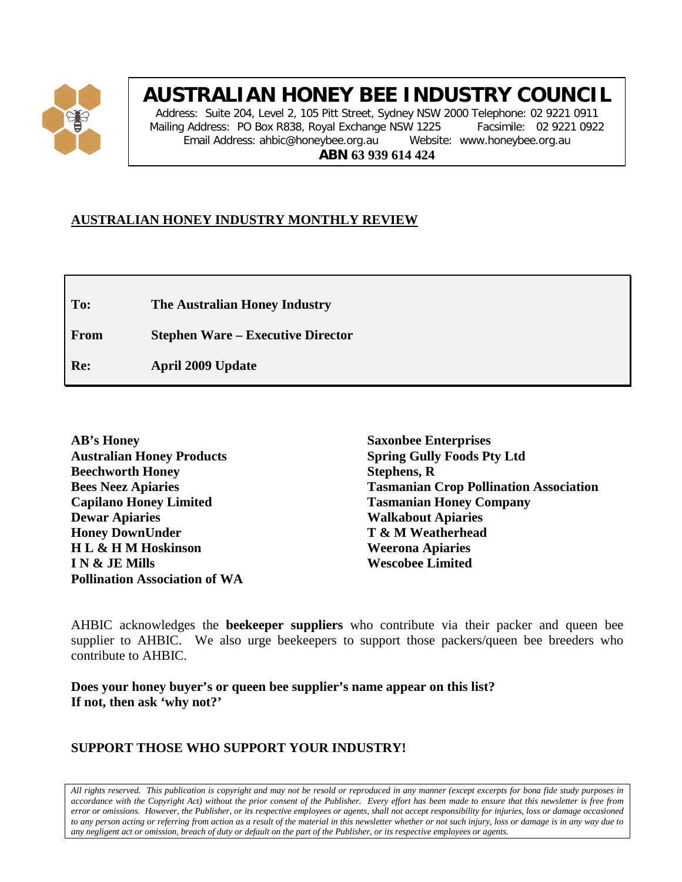

# **AUSTRALIAN HONEY BEE INDUSTRY COUNCIL**

Address: Suite 204, Level 2, 105 Pitt Street, Sydney NSW 2000 Telephone: 02 9221 0911 Mailing Address: PO Box R838, Royal Exchange NSW 1225 Facsimile: 02 9221 0922 Email Address: ahbic@honeybee.org.au Website: www.honeybee.org.au **ABN 63 939 614 424**

# **AUSTRALIAN HONEY INDUSTRY MONTHLY REVIEW**

**To: The Australian Honey Industry**

**From Stephen Ware – Executive Director**

**Re: April 2009 Update**

**Saxonbee Enterprises Spring Gully Foods Pty Ltd Stephens, R Tasmanian Crop Pollination Association Tasmanian Honey Company Walkabout Apiaries T & M Weatherhead Weerona Apiaries Wescobee Limited**

AHBIC acknowledges the **beekeeper suppliers** who contribute via their packer and queen bee supplier to AHBIC. We also urge beekeepers to support those packers/queen bee breeders who contribute to AHBIC.

**Does your honey buyer's or queen bee supplier's name appear on this list? If not, then ask 'why not?'**

# **SUPPORT THOSE WHO SUPPORT YOUR INDUSTRY!**

*All rights reserved. This publication is copyright and may not be resold or reproduced in any manner (except excerpts for bona fide study purposes in accordance with the Copyright Act) without the prior consent of the Publisher. Every effort has been made to ensure that this newsletter is free from error or omissions. However, the Publisher, or its respective employees or agents, shall not accept responsibility for injuries, loss or damage occasioned to any person acting or referring from action as a result of the material in this newsletter whether or not such injury, loss or damage is in any way due to any negligent act or omission, breach of duty or default on the part of the Publisher, or its respective employees or agents.*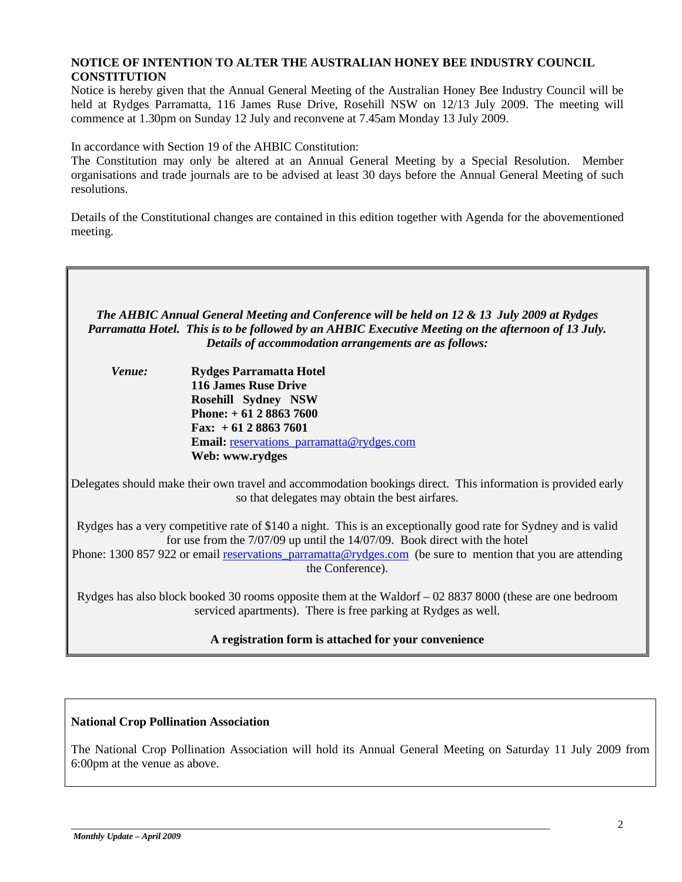## **NOTICE OF INTENTION TO ALTER THE AUSTRALIAN HONEY BEE INDUSTRY COUNCIL CONSTITUTION**

Notice is hereby given that the Annual General Meeting of the Australian Honey Bee Industry Council will be held at Rydges Parramatta, 116 James Ruse Drive, Rosehill NSW on 12/13 July 2009. The meeting will commence at 1.30pm on Sunday 12 July and reconvene at 7.45am Monday 13 July 2009.

In accordance with Section 19 of the AHBIC Constitution:

The Constitution may only be altered at an Annual General Meeting by a Special Resolution. Member organisations and trade journals are to be advised at least 30 days before the Annual General Meeting of such resolutions.

Details of the Constitutional changes are contained in this edition together with Agenda for the abovementioned meeting.



The National Crop Pollination Association will hold its Annual General Meeting on Saturday 11 July 2009 from 6:00pm at the venue as above.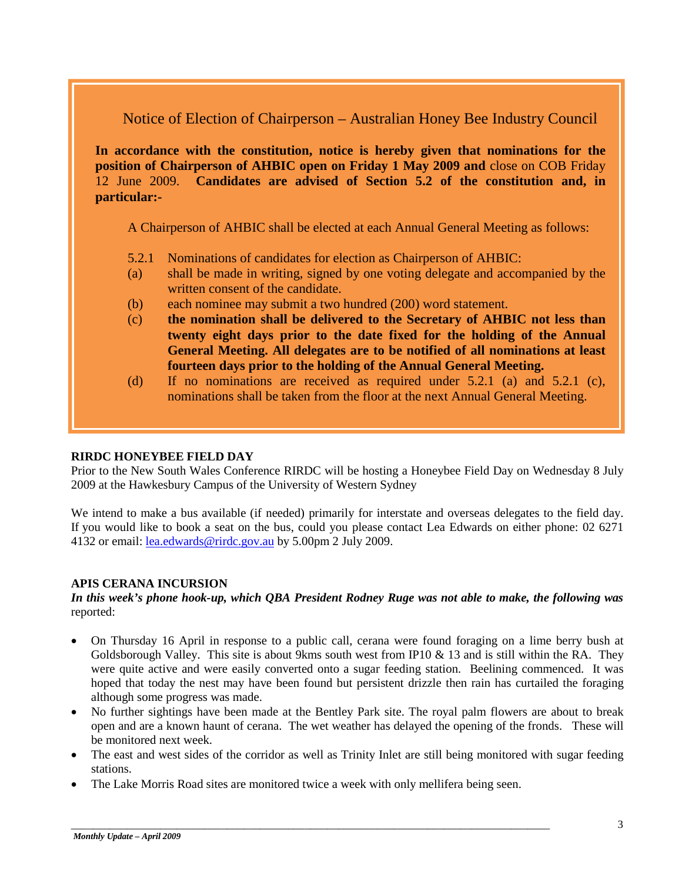Notice of Election of Chairperson – Australian Honey Bee Industry Council

**In accordance with the constitution, notice is hereby given that nominations for the position of Chairperson of AHBIC open on Friday 1 May 2009 and** close on COB Friday 12 June 2009. **Candidates are advised of Section 5.2 of the constitution and, in particular:-**

A Chairperson of AHBIC shall be elected at each Annual General Meeting as follows:

- 5.2.1 Nominations of candidates for election as Chairperson of AHBIC:
- (a) shall be made in writing, signed by one voting delegate and accompanied by the written consent of the candidate.
- (b) each nominee may submit a two hundred (200) word statement.
- (c) **the nomination shall be delivered to the Secretary of AHBIC not less than twenty eight days prior to the date fixed for the holding of the Annual General Meeting. All delegates are to be notified of all nominations at least fourteen days prior to the holding of the Annual General Meeting.**
- (d) If no nominations are received as required under 5.2.1 (a) and 5.2.1 (c), nominations shall be taken from the floor at the next Annual General Meeting.

#### **RIRDC HONEYBEE FIELD DAY**

Prior to the New South Wales Conference RIRDC will be hosting a Honeybee Field Day on Wednesday 8 July 2009 at the Hawkesbury Campus of the University of Western Sydney

We intend to make a bus available (if needed) primarily for interstate and overseas delegates to the field day. If you would like to book a seat on the bus, could you please contact Lea Edwards on either phone: 02 6271 4132 or email[: lea.edwards@rirdc.gov.au](mailto:lea.edwards@rirdc.gov.au) by 5.00pm 2 July 2009.

#### **APIS CERANA INCURSION**

*In this week's phone hook-up, which QBA President Rodney Ruge was not able to make, the following was* reported:

- On Thursday 16 April in response to a public call, cerana were found foraging on a lime berry bush at Goldsborough Valley. This site is about 9kms south west from IP10  $\&$  13 and is still within the RA. They were quite active and were easily converted onto a sugar feeding station. Beelining commenced. It was hoped that today the nest may have been found but persistent drizzle then rain has curtailed the foraging although some progress was made.
- No further sightings have been made at the Bentley Park site. The royal palm flowers are about to break open and are a known haunt of cerana. The wet weather has delayed the opening of the fronds. These will be monitored next week.
- The east and west sides of the corridor as well as Trinity Inlet are still being monitored with sugar feeding stations.
- The Lake Morris Road sites are monitored twice a week with only mellifera being seen.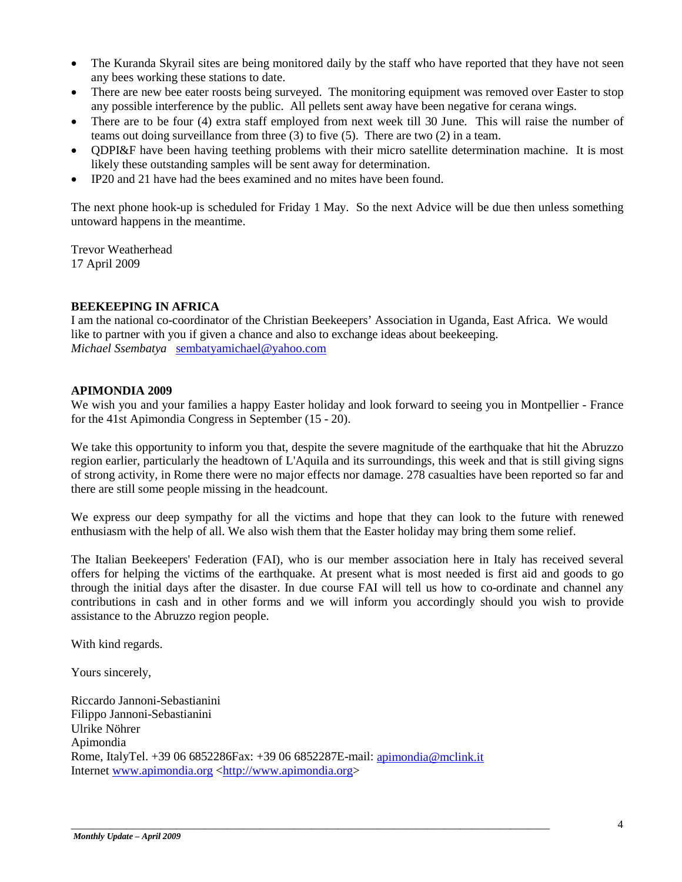- The Kuranda Skyrail sites are being monitored daily by the staff who have reported that they have not seen any bees working these stations to date.
- There are new bee eater roosts being surveyed. The monitoring equipment was removed over Easter to stop any possible interference by the public. All pellets sent away have been negative for cerana wings.
- There are to be four (4) extra staff employed from next week till 30 June. This will raise the number of teams out doing surveillance from three (3) to five (5). There are two (2) in a team.
- QDPI&F have been having teething problems with their micro satellite determination machine. It is most likely these outstanding samples will be sent away for determination.
- IP20 and 21 have had the bees examined and no mites have been found.

The next phone hook-up is scheduled for Friday 1 May. So the next Advice will be due then unless something untoward happens in the meantime.

Trevor Weatherhead 17 April 2009

## **BEEKEEPING IN AFRICA**

I am the national co-coordinator of the Christian Beekeepers' Association in Uganda, East Africa. We would like to partner with you if given a chance and also to exchange ideas about beekeeping. *Michael Ssembatya* [sembatyamichael@yahoo.com](mailto:sembatyamichael@yahoo.com)

#### **APIMONDIA 2009**

We wish you and your families a happy Easter holiday and look forward to seeing you in Montpellier - France for the 41st Apimondia Congress in September (15 - 20).

We take this opportunity to inform you that, despite the severe magnitude of the earthquake that hit the Abruzzo region earlier, particularly the headtown of L'Aquila and its surroundings, this week and that is still giving signs of strong activity, in Rome there were no major effects nor damage. 278 casualties have been reported so far and there are still some people missing in the headcount.

We express our deep sympathy for all the victims and hope that they can look to the future with renewed enthusiasm with the help of all. We also wish them that the Easter holiday may bring them some relief.

The Italian Beekeepers' Federation (FAI), who is our member association here in Italy has received several offers for helping the victims of the earthquake. At present what is most needed is first aid and goods to go through the initial days after the disaster. In due course FAI will tell us how to co-ordinate and channel any contributions in cash and in other forms and we will inform you accordingly should you wish to provide assistance to the Abruzzo region people.

With kind regards.

Yours sincerely,

Riccardo Jannoni-Sebastianini Filippo Jannoni-Sebastianini Ulrike Nöhrer Apimondia Rome, ItalyTel. +39 06 6852286Fax: +39 06 6852287E-mail: [apimondia@mclink.it](mailto:apimondia@mclink.it) Internet [www.apimondia.org](http://www.apimondia.org/) [<http://www.apimondia.org>](http://www.apimondia.org/)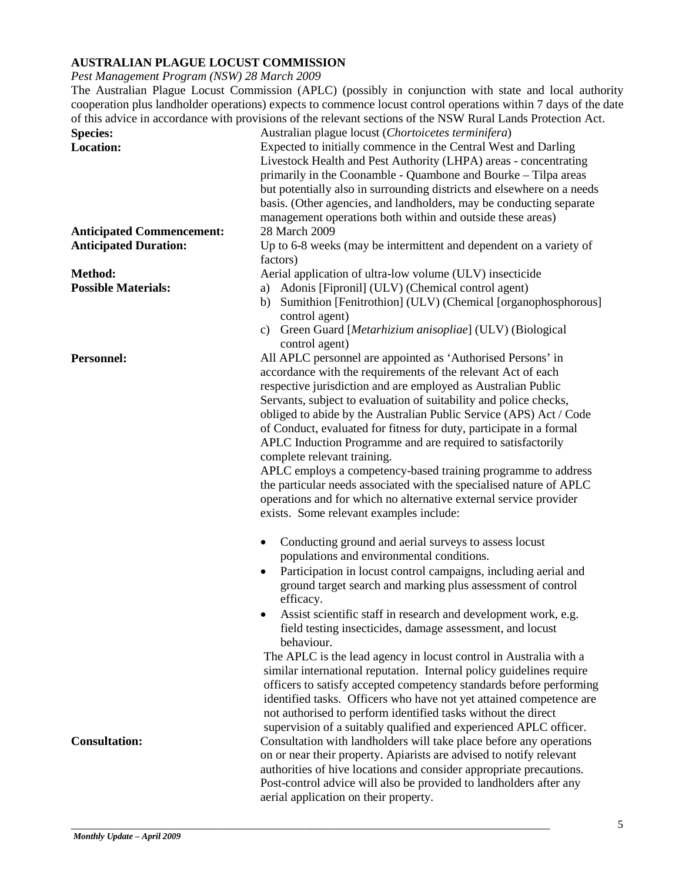# **AUSTRALIAN PLAGUE LOCUST COMMISSION**

*Pest Management Program (NSW) 28 March 2009*

The Australian Plague Locust Commission (APLC) (possibly in conjunction with state and local authority cooperation plus landholder operations) expects to commence locust control operations within 7 days of the date of this advice in accordance with provisions of the relevant sections of the NSW Rural Lands Protection Act.

|                                  | harding of the referant sections of the rad of return Eurits I rotection          |
|----------------------------------|-----------------------------------------------------------------------------------|
| <b>Species:</b>                  | Australian plague locust (Chortoicetes terminifera)                               |
| <b>Location:</b>                 | Expected to initially commence in the Central West and Darling                    |
|                                  | Livestock Health and Pest Authority (LHPA) areas - concentrating                  |
|                                  | primarily in the Coonamble - Quambone and Bourke - Tilpa areas                    |
|                                  | but potentially also in surrounding districts and elsewhere on a needs            |
|                                  | basis. (Other agencies, and landholders, may be conducting separate               |
|                                  | management operations both within and outside these areas)                        |
| <b>Anticipated Commencement:</b> | 28 March 2009                                                                     |
| <b>Anticipated Duration:</b>     | Up to 6-8 weeks (may be intermittent and dependent on a variety of                |
|                                  | factors)                                                                          |
| Method:                          | Aerial application of ultra-low volume (ULV) insecticide                          |
| <b>Possible Materials:</b>       | a) Adonis [Fipronil] (ULV) (Chemical control agent)                               |
|                                  | b) Sumithion [Fenitrothion] (ULV) (Chemical [organophosphorous]<br>control agent) |
|                                  | c) Green Guard [Metarhizium anisopliae] (ULV) (Biological<br>control agent)       |
| <b>Personnel:</b>                | All APLC personnel are appointed as 'Authorised Persons' in                       |
|                                  | accordance with the requirements of the relevant Act of each                      |
|                                  | respective jurisdiction and are employed as Australian Public                     |
|                                  | Servants, subject to evaluation of suitability and police checks,                 |
|                                  | obliged to abide by the Australian Public Service (APS) Act / Code                |
|                                  | of Conduct, evaluated for fitness for duty, participate in a formal               |
|                                  | APLC Induction Programme and are required to satisfactorily                       |
|                                  | complete relevant training.                                                       |
|                                  |                                                                                   |
|                                  | APLC employs a competency-based training programme to address                     |
|                                  | the particular needs associated with the specialised nature of APLC               |
|                                  | operations and for which no alternative external service provider                 |
|                                  | exists. Some relevant examples include:                                           |
|                                  | Conducting ground and aerial surveys to assess locust<br>$\bullet$                |
|                                  | populations and environmental conditions.                                         |
|                                  | Participation in locust control campaigns, including aerial and                   |
|                                  | ground target search and marking plus assessment of control                       |
|                                  | efficacy.                                                                         |
|                                  | Assist scientific staff in research and development work, e.g.                    |
|                                  | field testing insecticides, damage assessment, and locust                         |
|                                  | behaviour.                                                                        |
|                                  | The APLC is the lead agency in locust control in Australia with a                 |
|                                  | similar international reputation. Internal policy guidelines require              |
|                                  | officers to satisfy accepted competency standards before performing               |
|                                  | identified tasks. Officers who have not yet attained competence are               |
|                                  | not authorised to perform identified tasks without the direct                     |
|                                  | supervision of a suitably qualified and experienced APLC officer.                 |
| <b>Consultation:</b>             | Consultation with landholders will take place before any operations               |
|                                  | on or near their property. Apiarists are advised to notify relevant               |
|                                  | authorities of hive locations and consider appropriate precautions.               |
|                                  | Post-control advice will also be provided to landholders after any                |
|                                  | aerial application on their property.                                             |
|                                  |                                                                                   |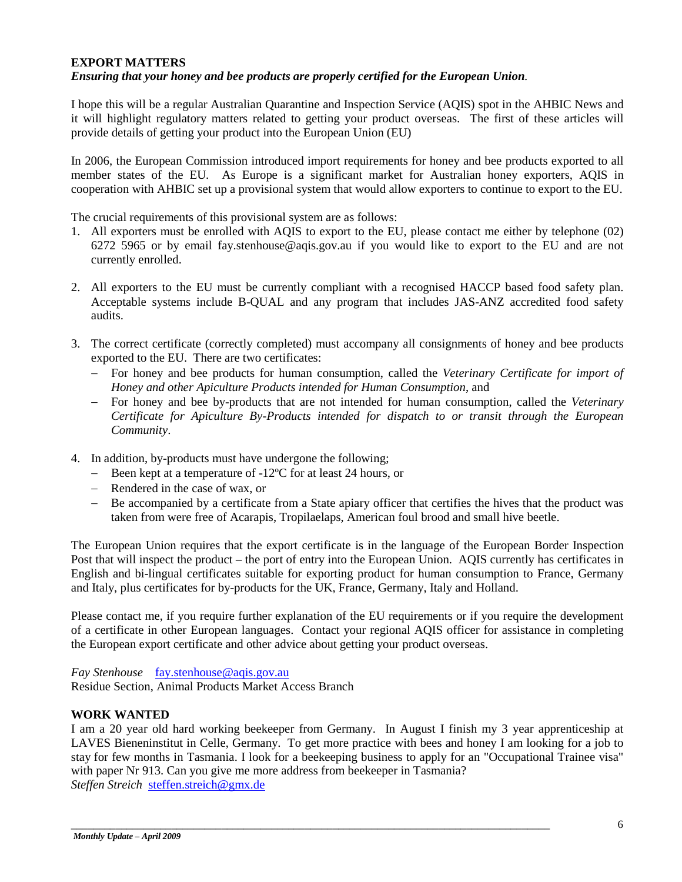#### **EXPORT MATTERS**

#### *Ensuring that your honey and bee products are properly certified for the European Union.*

I hope this will be a regular Australian Quarantine and Inspection Service (AQIS) spot in the AHBIC News and it will highlight regulatory matters related to getting your product overseas. The first of these articles will provide details of getting your product into the European Union (EU)

In 2006, the European Commission introduced import requirements for honey and bee products exported to all member states of the EU. As Europe is a significant market for Australian honey exporters, AQIS in cooperation with AHBIC set up a provisional system that would allow exporters to continue to export to the EU.

The crucial requirements of this provisional system are as follows:

- 1. All exporters must be enrolled with AQIS to export to the EU, please contact me either by telephone (02) 6272 5965 or by email fay.stenhouse@aqis.gov.au if you would like to export to the EU and are not currently enrolled.
- 2. All exporters to the EU must be currently compliant with a recognised HACCP based food safety plan. Acceptable systems include B-QUAL and any program that includes JAS-ANZ accredited food safety audits.
- 3. The correct certificate (correctly completed) must accompany all consignments of honey and bee products exported to the EU. There are two certificates:
	- − For honey and bee products for human consumption, called the *Veterinary Certificate for import of Honey and other Apiculture Products intended for Human Consumption*, and
	- − For honey and bee by-products that are not intended for human consumption, called the *Veterinary Certificate for Apiculture By-Products intended for dispatch to or transit through the European Community*.
- 4. In addition, by-products must have undergone the following;
	- − Been kept at a temperature of -12ºC for at least 24 hours, or
	- − Rendered in the case of wax, or
	- − Be accompanied by a certificate from a State apiary officer that certifies the hives that the product was taken from were free of Acarapis, Tropilaelaps, American foul brood and small hive beetle.

The European Union requires that the export certificate is in the language of the European Border Inspection Post that will inspect the product – the port of entry into the European Union. AQIS currently has certificates in English and bi-lingual certificates suitable for exporting product for human consumption to France, Germany and Italy, plus certificates for by-products for the UK, France, Germany, Italy and Holland.

Please contact me, if you require further explanation of the EU requirements or if you require the development of a certificate in other European languages. Contact your regional AQIS officer for assistance in completing the European export certificate and other advice about getting your product overseas.

*Fay Stenhouse* [fay.stenhouse@aqis.gov.au](mailto:fay.stenhouse@aqis.gov.au) Residue Section, Animal Products Market Access Branch

#### **WORK WANTED**

I am a 20 year old hard working beekeeper from Germany. In August I finish my 3 year apprenticeship at LAVES Bieneninstitut in Celle, Germany. To get more practice with bees and honey I am looking for a job to stay for few months in Tasmania. I look for a beekeeping business to apply for an "Occupational Trainee visa" with paper Nr 913. Can you give me more address from beekeeper in Tasmania? *Steffen Streich* [steffen.streich@gmx.de](mailto:steffen.streich@gmx.de)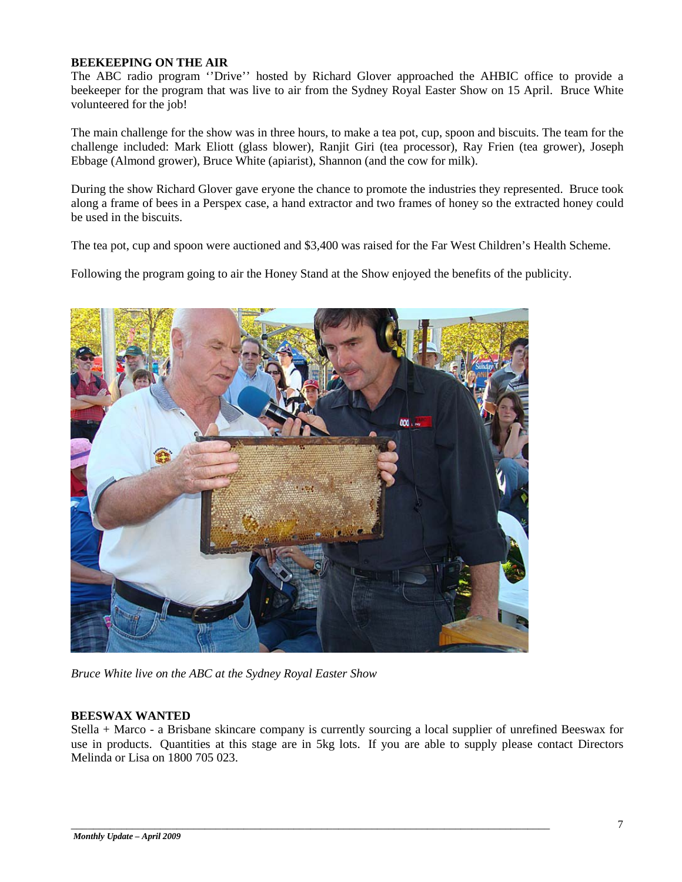#### **BEEKEEPING ON THE AIR**

The ABC radio program ''Drive'' hosted by Richard Glover approached the AHBIC office to provide a beekeeper for the program that was live to air from the Sydney Royal Easter Show on 15 April. Bruce White volunteered for the job!

The main challenge for the show was in three hours, to make a tea pot, cup, spoon and biscuits. The team for the challenge included: Mark Eliott (glass blower), Ranjit Giri (tea processor), Ray Frien (tea grower), Joseph Ebbage (Almond grower), Bruce White (apiarist), Shannon (and the cow for milk).

During the show Richard Glover gave eryone the chance to promote the industries they represented. Bruce took along a frame of bees in a Perspex case, a hand extractor and two frames of honey so the extracted honey could be used in the biscuits.

The tea pot, cup and spoon were auctioned and \$3,400 was raised for the Far West Children's Health Scheme.

Following the program going to air the Honey Stand at the Show enjoyed the benefits of the publicity.



*Bruce White live on the ABC at the Sydney Royal Easter Show*

#### **BEESWAX WANTED**

Stella + Marco - a Brisbane skincare company is currently sourcing a local supplier of unrefined Beeswax for use in products. Quantities at this stage are in 5kg lots. If you are able to supply please contact Directors Melinda or Lisa on 1800 705 023.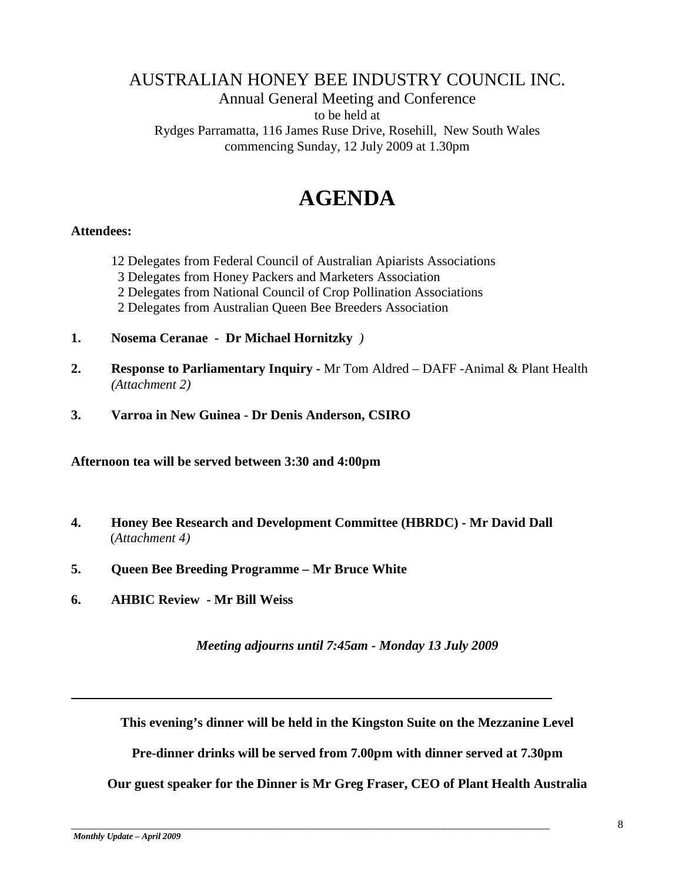# AUSTRALIAN HONEY BEE INDUSTRY COUNCIL INC.

# Annual General Meeting and Conference to be held at Rydges Parramatta, 116 James Ruse Drive, Rosehill, New South Wales commencing Sunday, 12 July 2009 at 1.30pm

# **AGENDA**

# **Attendees:**

- 12 Delegates from Federal Council of Australian Apiarists Associations
- 3 Delegates from Honey Packers and Marketers Association
- 2 Delegates from National Council of Crop Pollination Associations
- 2 Delegates from Australian Queen Bee Breeders Association
- **1. Nosema Ceranae Dr Michael Hornitzky** *)*
- **2. Response to Parliamentary Inquiry -** Mr Tom Aldred DAFF -Animal & Plant Health *(Attachment 2)*
- **3. Varroa in New Guinea - Dr Denis Anderson, CSIRO**

**Afternoon tea will be served between 3:30 and 4:00pm**

- **4. Honey Bee Research and Development Committee (HBRDC) - Mr David Dall**  (*Attachment 4)*
- **5. Queen Bee Breeding Programme – Mr Bruce White**
- **6. AHBIC Review - Mr Bill Weiss**

*Meeting adjourns until 7:45am - Monday 13 July 2009*

**This evening's dinner will be held in the Kingston Suite on the Mezzanine Level**

**Pre-dinner drinks will be served from 7.00pm with dinner served at 7.30pm** 

**Our guest speaker for the Dinner is Mr Greg Fraser, CEO of Plant Health Australia**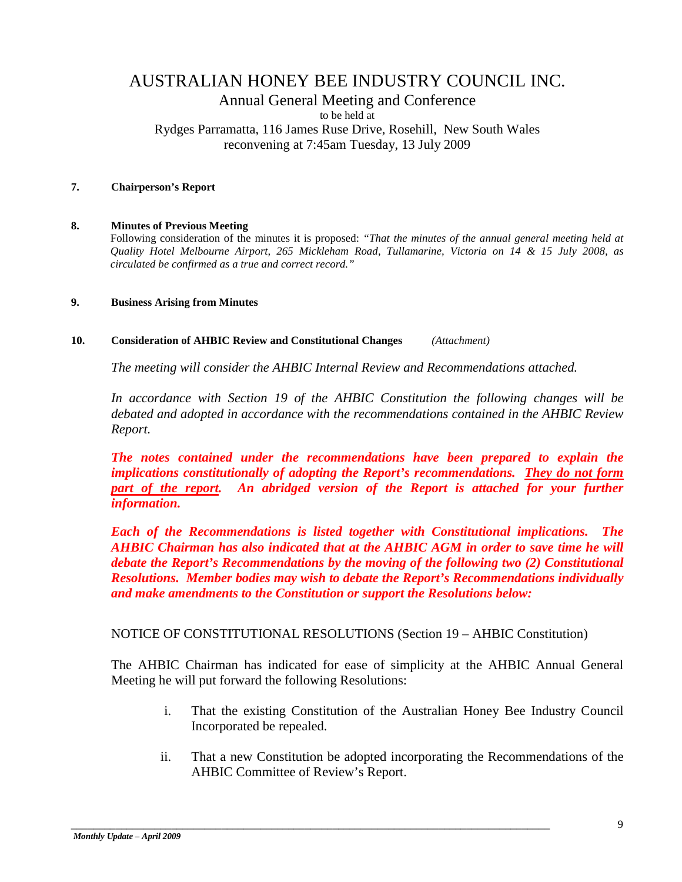# AUSTRALIAN HONEY BEE INDUSTRY COUNCIL INC. Annual General Meeting and Conference to be held at Rydges Parramatta, 116 James Ruse Drive, Rosehill, New South Wales reconvening at 7:45am Tuesday, 13 July 2009

## **7. Chairperson's Report**

#### **8. Minutes of Previous Meeting**

Following consideration of the minutes it is proposed: *"That the minutes of the annual general meeting held at Quality Hotel Melbourne Airport, 265 Mickleham Road, Tullamarine, Victoria on 14 & 15 July 2008, as circulated be confirmed as a true and correct record."*

#### **9. Business Arising from Minutes**

#### **10. Consideration of AHBIC Review and Constitutional Changes** *(Attachment)*

*The meeting will consider the AHBIC Internal Review and Recommendations attached.*

*In accordance with Section 19 of the AHBIC Constitution the following changes will be debated and adopted in accordance with the recommendations contained in the AHBIC Review Report.*

*The notes contained under the recommendations have been prepared to explain the implications constitutionally of adopting the Report's recommendations. They do not form part of the report. An abridged version of the Report is attached for your further information.*

*Each of the Recommendations is listed together with Constitutional implications. The AHBIC Chairman has also indicated that at the AHBIC AGM in order to save time he will debate the Report's Recommendations by the moving of the following two (2) Constitutional Resolutions. Member bodies may wish to debate the Report's Recommendations individually and make amendments to the Constitution or support the Resolutions below:*

#### NOTICE OF CONSTITUTIONAL RESOLUTIONS (Section 19 – AHBIC Constitution)

\_\_\_\_\_\_\_\_\_\_\_\_\_\_\_\_\_\_\_\_\_\_\_\_\_\_\_\_\_\_\_\_\_\_\_\_\_\_\_\_\_\_\_\_\_\_\_\_\_\_\_\_\_\_\_\_\_\_\_\_\_\_\_\_\_\_\_\_\_\_\_\_\_\_\_\_\_\_\_\_\_\_\_\_\_\_

The AHBIC Chairman has indicated for ease of simplicity at the AHBIC Annual General Meeting he will put forward the following Resolutions:

- i. That the existing Constitution of the Australian Honey Bee Industry Council Incorporated be repealed.
- ii. That a new Constitution be adopted incorporating the Recommendations of the AHBIC Committee of Review's Report.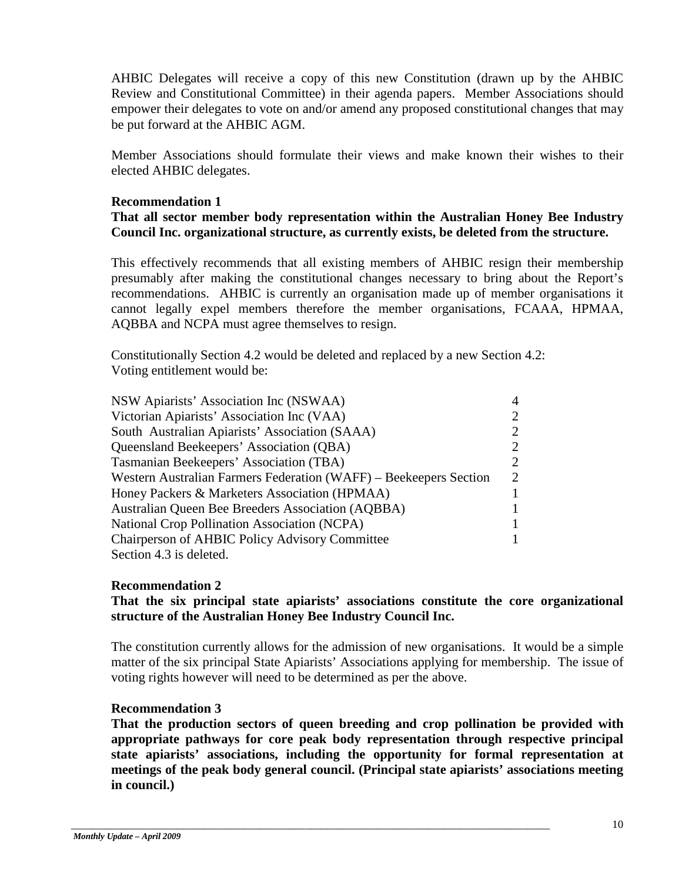AHBIC Delegates will receive a copy of this new Constitution (drawn up by the AHBIC Review and Constitutional Committee) in their agenda papers. Member Associations should empower their delegates to vote on and/or amend any proposed constitutional changes that may be put forward at the AHBIC AGM.

Member Associations should formulate their views and make known their wishes to their elected AHBIC delegates.

# **Recommendation 1**

# **That all sector member body representation within the Australian Honey Bee Industry Council Inc. organizational structure, as currently exists, be deleted from the structure.**

This effectively recommends that all existing members of AHBIC resign their membership presumably after making the constitutional changes necessary to bring about the Report's recommendations. AHBIC is currently an organisation made up of member organisations it cannot legally expel members therefore the member organisations, FCAAA, HPMAA, AQBBA and NCPA must agree themselves to resign.

Constitutionally Section 4.2 would be deleted and replaced by a new Section 4.2: Voting entitlement would be:

| NSW Apiarists' Association Inc (NSWAA)                            |  |
|-------------------------------------------------------------------|--|
| Victorian Apiarists' Association Inc (VAA)                        |  |
| South Australian Apiarists' Association (SAAA)                    |  |
| Queensland Beekeepers' Association (QBA)                          |  |
| Tasmanian Beekeepers' Association (TBA)                           |  |
| Western Australian Farmers Federation (WAFF) – Beekeepers Section |  |
| Honey Packers & Marketers Association (HPMAA)                     |  |
| <b>Australian Queen Bee Breeders Association (AQBBA)</b>          |  |
| <b>National Crop Pollination Association (NCPA)</b>               |  |
| <b>Chairperson of AHBIC Policy Advisory Committee</b>             |  |
| Section 4.3 is deleted.                                           |  |

# **Recommendation 2**

# **That the six principal state apiarists' associations constitute the core organizational structure of the Australian Honey Bee Industry Council Inc.**

The constitution currently allows for the admission of new organisations. It would be a simple matter of the six principal State Apiarists' Associations applying for membership. The issue of voting rights however will need to be determined as per the above.

# **Recommendation 3**

**That the production sectors of queen breeding and crop pollination be provided with appropriate pathways for core peak body representation through respective principal state apiarists' associations, including the opportunity for formal representation at meetings of the peak body general council. (Principal state apiarists' associations meeting in council.)**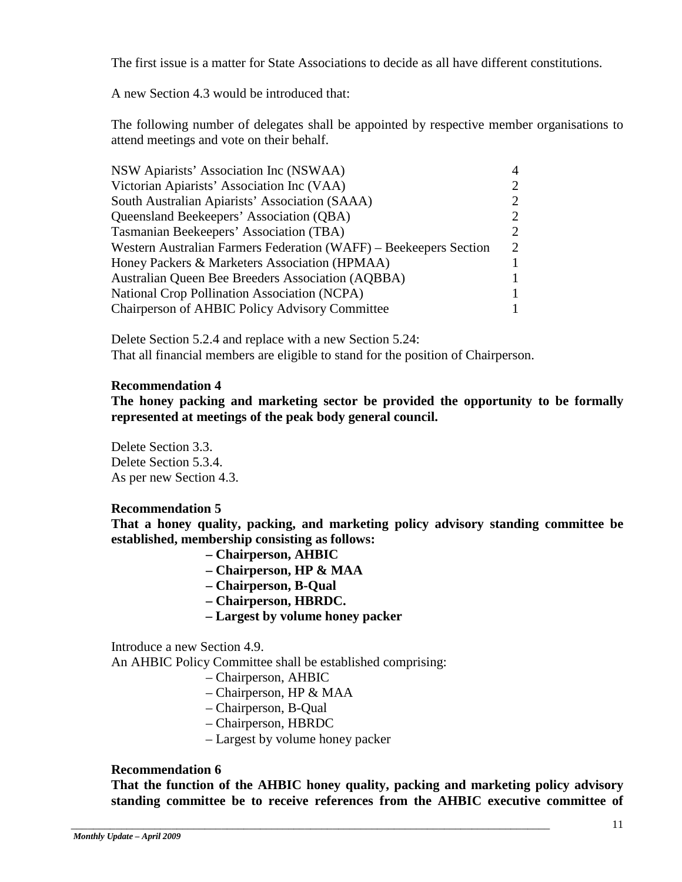The first issue is a matter for State Associations to decide as all have different constitutions.

A new Section 4.3 would be introduced that:

The following number of delegates shall be appointed by respective member organisations to attend meetings and vote on their behalf.

| NSW Apiarists' Association Inc (NSWAA)                            | 4                           |
|-------------------------------------------------------------------|-----------------------------|
| Victorian Apiarists' Association Inc (VAA)                        | $\mathcal{D}_{\cdot}$       |
| South Australian Apiarists' Association (SAAA)                    | $\mathcal{D}_{\cdot}$       |
| Queensland Beekeepers' Association (QBA)                          | $\mathcal{D}_{\cdot}$       |
| Tasmanian Beekeepers' Association (TBA)                           | $\mathcal{D}_{\mathcal{L}}$ |
| Western Australian Farmers Federation (WAFF) – Beekeepers Section |                             |
| Honey Packers & Marketers Association (HPMAA)                     |                             |
| Australian Queen Bee Breeders Association (AQBBA)                 |                             |
| <b>National Crop Pollination Association (NCPA)</b>               |                             |
| Chairperson of AHBIC Policy Advisory Committee                    |                             |

Delete Section 5.2.4 and replace with a new Section 5.24: That all financial members are eligible to stand for the position of Chairperson.

## **Recommendation 4**

**The honey packing and marketing sector be provided the opportunity to be formally represented at meetings of the peak body general council.** 

Delete Section 3.3. Delete Section 5.3.4. As per new Section 4.3.

# **Recommendation 5**

**That a honey quality, packing, and marketing policy advisory standing committee be established, membership consisting as follows:** 

- **– Chairperson, AHBIC**
- **– Chairperson, HP & MAA**
- **– Chairperson, B-Qual**
- **– Chairperson, HBRDC.**
- **– Largest by volume honey packer**

Introduce a new Section 4.9.

An AHBIC Policy Committee shall be established comprising:

- Chairperson, AHBIC
- Chairperson, HP & MAA
- Chairperson, B-Qual
- Chairperson, HBRDC
- Largest by volume honey packer

\_\_\_\_\_\_\_\_\_\_\_\_\_\_\_\_\_\_\_\_\_\_\_\_\_\_\_\_\_\_\_\_\_\_\_\_\_\_\_\_\_\_\_\_\_\_\_\_\_\_\_\_\_\_\_\_\_\_\_\_\_\_\_\_\_\_\_\_\_\_\_\_\_\_\_\_\_\_\_\_\_\_\_\_\_\_

#### **Recommendation 6**

**That the function of the AHBIC honey quality, packing and marketing policy advisory standing committee be to receive references from the AHBIC executive committee of**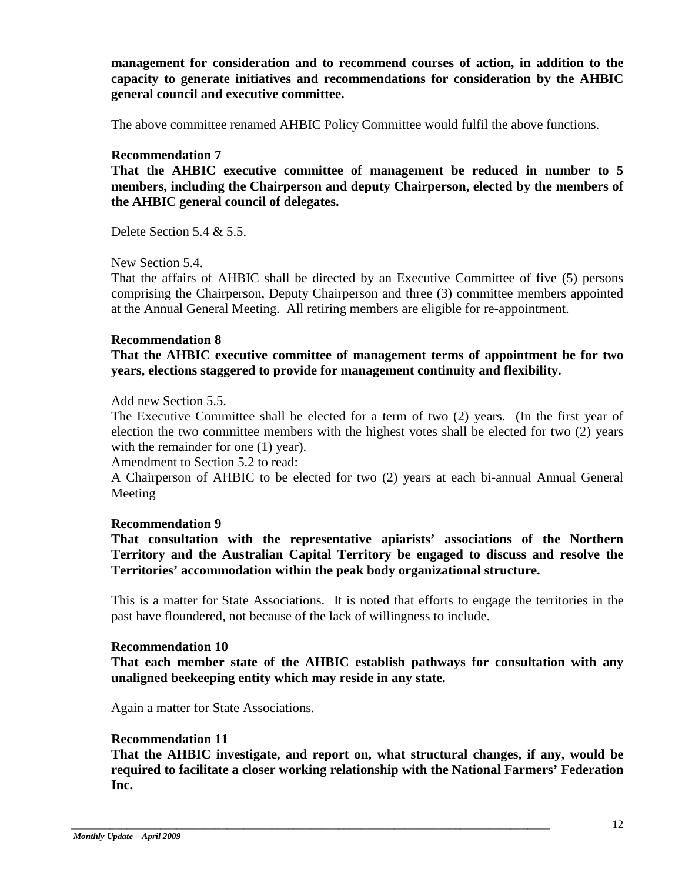**management for consideration and to recommend courses of action, in addition to the capacity to generate initiatives and recommendations for consideration by the AHBIC general council and executive committee.** 

The above committee renamed AHBIC Policy Committee would fulfil the above functions.

## **Recommendation 7**

**That the AHBIC executive committee of management be reduced in number to 5 members, including the Chairperson and deputy Chairperson, elected by the members of the AHBIC general council of delegates.** 

Delete Section 5.4 & 5.5.

New Section 5.4.

That the affairs of AHBIC shall be directed by an Executive Committee of five (5) persons comprising the Chairperson, Deputy Chairperson and three (3) committee members appointed at the Annual General Meeting. All retiring members are eligible for re-appointment.

# **Recommendation 8**

**That the AHBIC executive committee of management terms of appointment be for two years, elections staggered to provide for management continuity and flexibility.** 

Add new Section 5.5.

The Executive Committee shall be elected for a term of two (2) years. (In the first year of election the two committee members with the highest votes shall be elected for two (2) years with the remainder for one (1) year).

Amendment to Section 5.2 to read:

A Chairperson of AHBIC to be elected for two (2) years at each bi-annual Annual General Meeting

#### **Recommendation 9**

**That consultation with the representative apiarists' associations of the Northern Territory and the Australian Capital Territory be engaged to discuss and resolve the Territories' accommodation within the peak body organizational structure.** 

This is a matter for State Associations. It is noted that efforts to engage the territories in the past have floundered, not because of the lack of willingness to include.

#### **Recommendation 10**

**That each member state of the AHBIC establish pathways for consultation with any unaligned beekeeping entity which may reside in any state.** 

Again a matter for State Associations.

# **Recommendation 11**

**That the AHBIC investigate, and report on, what structural changes, if any, would be required to facilitate a closer working relationship with the National Farmers' Federation Inc.**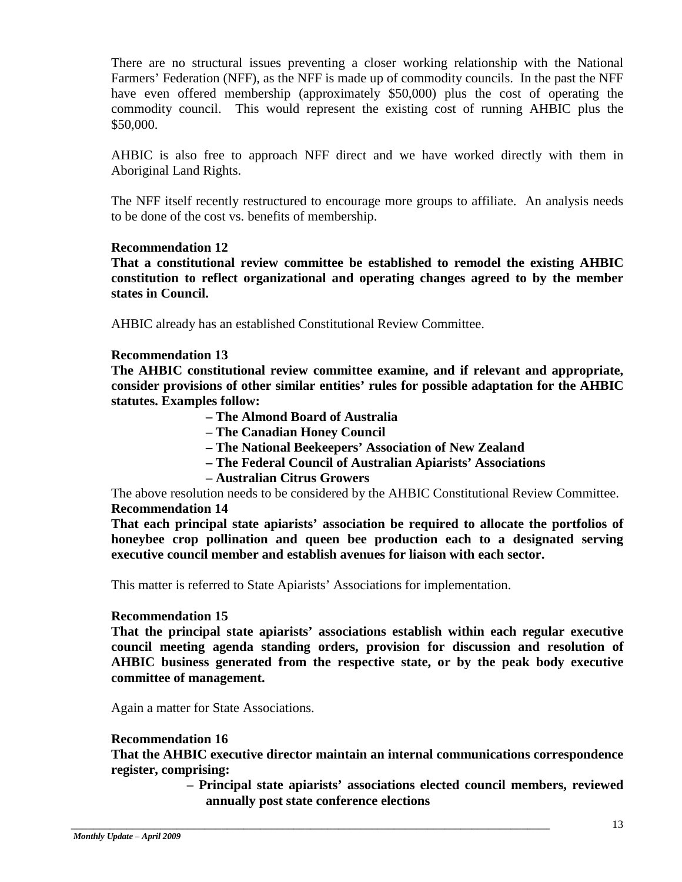There are no structural issues preventing a closer working relationship with the National Farmers' Federation (NFF), as the NFF is made up of commodity councils. In the past the NFF have even offered membership (approximately \$50,000) plus the cost of operating the commodity council. This would represent the existing cost of running AHBIC plus the \$50,000.

AHBIC is also free to approach NFF direct and we have worked directly with them in Aboriginal Land Rights.

The NFF itself recently restructured to encourage more groups to affiliate. An analysis needs to be done of the cost vs. benefits of membership.

# **Recommendation 12**

**That a constitutional review committee be established to remodel the existing AHBIC constitution to reflect organizational and operating changes agreed to by the member states in Council.** 

AHBIC already has an established Constitutional Review Committee.

# **Recommendation 13**

**The AHBIC constitutional review committee examine, and if relevant and appropriate, consider provisions of other similar entities' rules for possible adaptation for the AHBIC statutes. Examples follow:** 

- **– The Almond Board of Australia**
- **– The Canadian Honey Council**
- **– The National Beekeepers' Association of New Zealand**
- **– The Federal Council of Australian Apiarists' Associations**
- **– Australian Citrus Growers**

The above resolution needs to be considered by the AHBIC Constitutional Review Committee. **Recommendation 14** 

**That each principal state apiarists' association be required to allocate the portfolios of honeybee crop pollination and queen bee production each to a designated serving executive council member and establish avenues for liaison with each sector.** 

This matter is referred to State Apiarists' Associations for implementation.

\_\_\_\_\_\_\_\_\_\_\_\_\_\_\_\_\_\_\_\_\_\_\_\_\_\_\_\_\_\_\_\_\_\_\_\_\_\_\_\_\_\_\_\_\_\_\_\_\_\_\_\_\_\_\_\_\_\_\_\_\_\_\_\_\_\_\_\_\_\_\_\_\_\_\_\_\_\_\_\_\_\_\_\_\_\_

# **Recommendation 15**

**That the principal state apiarists' associations establish within each regular executive council meeting agenda standing orders, provision for discussion and resolution of AHBIC business generated from the respective state, or by the peak body executive committee of management.** 

Again a matter for State Associations.

# **Recommendation 16**

**That the AHBIC executive director maintain an internal communications correspondence register, comprising:** 

> **– Principal state apiarists' associations elected council members, reviewed annually post state conference elections**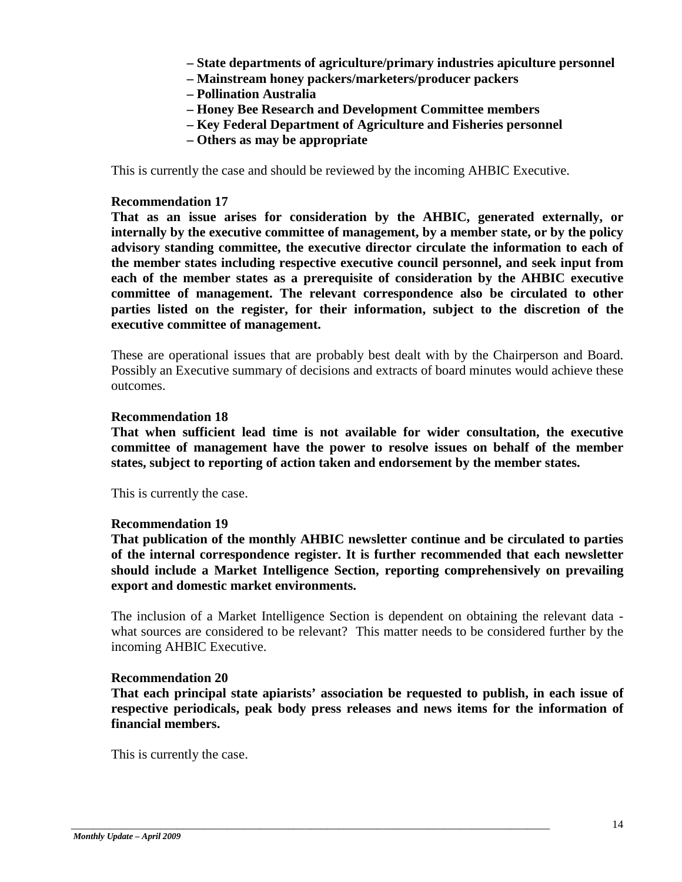- **– State departments of agriculture/primary industries apiculture personnel**
- **– Mainstream honey packers/marketers/producer packers**
- **– Pollination Australia**
- **– Honey Bee Research and Development Committee members**
- **– Key Federal Department of Agriculture and Fisheries personnel**
- **– Others as may be appropriate**

This is currently the case and should be reviewed by the incoming AHBIC Executive.

## **Recommendation 17**

**That as an issue arises for consideration by the AHBIC, generated externally, or internally by the executive committee of management, by a member state, or by the policy advisory standing committee, the executive director circulate the information to each of the member states including respective executive council personnel, and seek input from each of the member states as a prerequisite of consideration by the AHBIC executive committee of management. The relevant correspondence also be circulated to other parties listed on the register, for their information, subject to the discretion of the executive committee of management.** 

These are operational issues that are probably best dealt with by the Chairperson and Board. Possibly an Executive summary of decisions and extracts of board minutes would achieve these outcomes.

#### **Recommendation 18**

**That when sufficient lead time is not available for wider consultation, the executive committee of management have the power to resolve issues on behalf of the member states, subject to reporting of action taken and endorsement by the member states.** 

This is currently the case.

#### **Recommendation 19**

**That publication of the monthly AHBIC newsletter continue and be circulated to parties of the internal correspondence register. It is further recommended that each newsletter should include a Market Intelligence Section, reporting comprehensively on prevailing export and domestic market environments.** 

The inclusion of a Market Intelligence Section is dependent on obtaining the relevant data what sources are considered to be relevant? This matter needs to be considered further by the incoming AHBIC Executive.

# **Recommendation 20**

**That each principal state apiarists' association be requested to publish, in each issue of respective periodicals, peak body press releases and news items for the information of financial members.** 

\_\_\_\_\_\_\_\_\_\_\_\_\_\_\_\_\_\_\_\_\_\_\_\_\_\_\_\_\_\_\_\_\_\_\_\_\_\_\_\_\_\_\_\_\_\_\_\_\_\_\_\_\_\_\_\_\_\_\_\_\_\_\_\_\_\_\_\_\_\_\_\_\_\_\_\_\_\_\_\_\_\_\_\_\_\_

This is currently the case.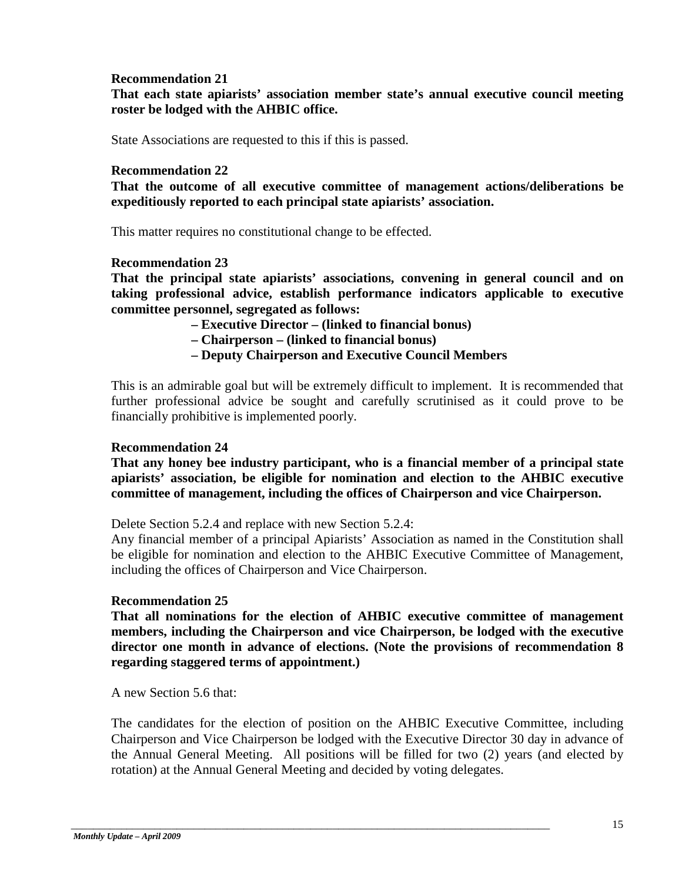# **Recommendation 21**

# **That each state apiarists' association member state's annual executive council meeting roster be lodged with the AHBIC office.**

State Associations are requested to this if this is passed.

# **Recommendation 22**

**That the outcome of all executive committee of management actions/deliberations be expeditiously reported to each principal state apiarists' association.** 

This matter requires no constitutional change to be effected.

# **Recommendation 23**

**That the principal state apiarists' associations, convening in general council and on taking professional advice, establish performance indicators applicable to executive committee personnel, segregated as follows:** 

- **– Executive Director – (linked to financial bonus)**
- **– Chairperson – (linked to financial bonus)**
- **– Deputy Chairperson and Executive Council Members**

This is an admirable goal but will be extremely difficult to implement. It is recommended that further professional advice be sought and carefully scrutinised as it could prove to be financially prohibitive is implemented poorly.

# **Recommendation 24**

**That any honey bee industry participant, who is a financial member of a principal state apiarists' association, be eligible for nomination and election to the AHBIC executive committee of management, including the offices of Chairperson and vice Chairperson.** 

Delete Section 5.2.4 and replace with new Section 5.2.4:

Any financial member of a principal Apiarists' Association as named in the Constitution shall be eligible for nomination and election to the AHBIC Executive Committee of Management, including the offices of Chairperson and Vice Chairperson.

# **Recommendation 25**

**That all nominations for the election of AHBIC executive committee of management members, including the Chairperson and vice Chairperson, be lodged with the executive director one month in advance of elections. (Note the provisions of recommendation 8 regarding staggered terms of appointment.)** 

A new Section 5.6 that:

The candidates for the election of position on the AHBIC Executive Committee, including Chairperson and Vice Chairperson be lodged with the Executive Director 30 day in advance of the Annual General Meeting. All positions will be filled for two (2) years (and elected by rotation) at the Annual General Meeting and decided by voting delegates.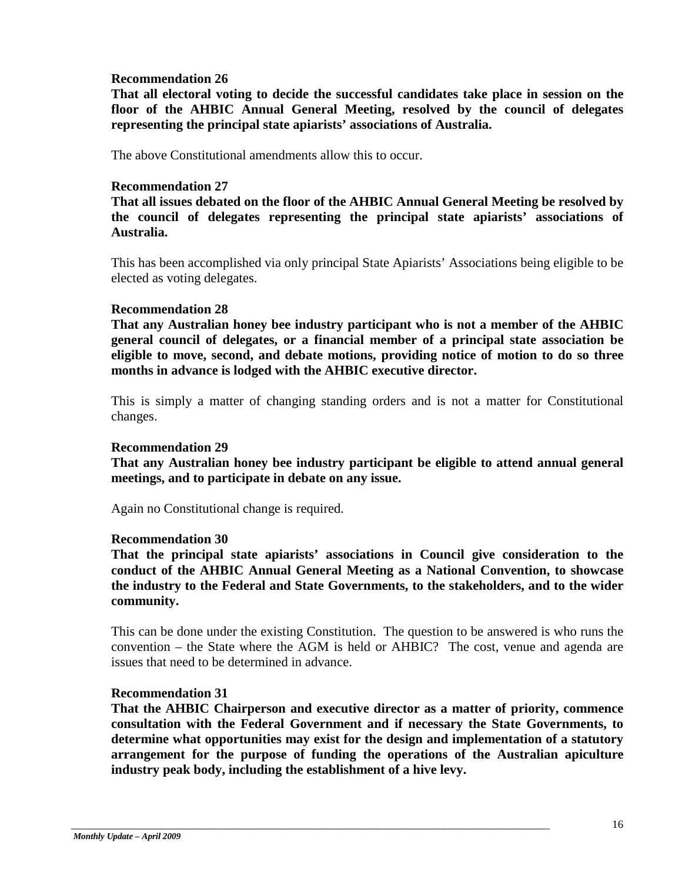# **Recommendation 26**

**That all electoral voting to decide the successful candidates take place in session on the floor of the AHBIC Annual General Meeting, resolved by the council of delegates representing the principal state apiarists' associations of Australia.** 

The above Constitutional amendments allow this to occur.

## **Recommendation 27**

**That all issues debated on the floor of the AHBIC Annual General Meeting be resolved by the council of delegates representing the principal state apiarists' associations of Australia.** 

This has been accomplished via only principal State Apiarists' Associations being eligible to be elected as voting delegates.

# **Recommendation 28**

**That any Australian honey bee industry participant who is not a member of the AHBIC general council of delegates, or a financial member of a principal state association be eligible to move, second, and debate motions, providing notice of motion to do so three months in advance is lodged with the AHBIC executive director.** 

This is simply a matter of changing standing orders and is not a matter for Constitutional changes.

#### **Recommendation 29**

**That any Australian honey bee industry participant be eligible to attend annual general meetings, and to participate in debate on any issue.** 

Again no Constitutional change is required.

#### **Recommendation 30**

**That the principal state apiarists' associations in Council give consideration to the conduct of the AHBIC Annual General Meeting as a National Convention, to showcase the industry to the Federal and State Governments, to the stakeholders, and to the wider community.** 

This can be done under the existing Constitution. The question to be answered is who runs the convention – the State where the AGM is held or AHBIC? The cost, venue and agenda are issues that need to be determined in advance.

# **Recommendation 31**

**That the AHBIC Chairperson and executive director as a matter of priority, commence consultation with the Federal Government and if necessary the State Governments, to determine what opportunities may exist for the design and implementation of a statutory arrangement for the purpose of funding the operations of the Australian apiculture industry peak body, including the establishment of a hive levy.**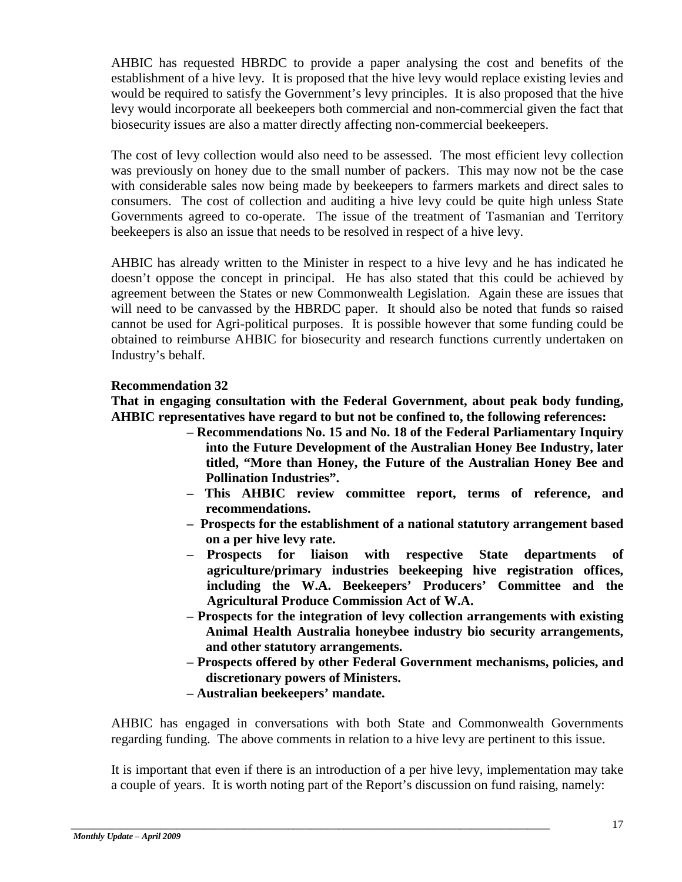AHBIC has requested HBRDC to provide a paper analysing the cost and benefits of the establishment of a hive levy. It is proposed that the hive levy would replace existing levies and would be required to satisfy the Government's levy principles. It is also proposed that the hive levy would incorporate all beekeepers both commercial and non-commercial given the fact that biosecurity issues are also a matter directly affecting non-commercial beekeepers.

The cost of levy collection would also need to be assessed. The most efficient levy collection was previously on honey due to the small number of packers. This may now not be the case with considerable sales now being made by beekeepers to farmers markets and direct sales to consumers. The cost of collection and auditing a hive levy could be quite high unless State Governments agreed to co-operate. The issue of the treatment of Tasmanian and Territory beekeepers is also an issue that needs to be resolved in respect of a hive levy.

AHBIC has already written to the Minister in respect to a hive levy and he has indicated he doesn't oppose the concept in principal. He has also stated that this could be achieved by agreement between the States or new Commonwealth Legislation. Again these are issues that will need to be canvassed by the HBRDC paper. It should also be noted that funds so raised cannot be used for Agri-political purposes. It is possible however that some funding could be obtained to reimburse AHBIC for biosecurity and research functions currently undertaken on Industry's behalf.

# **Recommendation 32**

**That in engaging consultation with the Federal Government, about peak body funding, AHBIC representatives have regard to but not be confined to, the following references:** 

- **– Recommendations No. 15 and No. 18 of the Federal Parliamentary Inquiry into the Future Development of the Australian Honey Bee Industry, later titled, "More than Honey, the Future of the Australian Honey Bee and Pollination Industries".**
- **– This AHBIC review committee report, terms of reference, and recommendations.**
- **– Prospects for the establishment of a national statutory arrangement based on a per hive levy rate.**
- **Prospects for liaison with respective State departments of agriculture/primary industries beekeeping hive registration offices, including the W.A. Beekeepers' Producers' Committee and the Agricultural Produce Commission Act of W.A.**
- **– Prospects for the integration of levy collection arrangements with existing Animal Health Australia honeybee industry bio security arrangements, and other statutory arrangements.**
- **– Prospects offered by other Federal Government mechanisms, policies, and discretionary powers of Ministers.**
- **– Australian beekeepers' mandate.**

\_\_\_\_\_\_\_\_\_\_\_\_\_\_\_\_\_\_\_\_\_\_\_\_\_\_\_\_\_\_\_\_\_\_\_\_\_\_\_\_\_\_\_\_\_\_\_\_\_\_\_\_\_\_\_\_\_\_\_\_\_\_\_\_\_\_\_\_\_\_\_\_\_\_\_\_\_\_\_\_\_\_\_\_\_\_

AHBIC has engaged in conversations with both State and Commonwealth Governments regarding funding. The above comments in relation to a hive levy are pertinent to this issue.

It is important that even if there is an introduction of a per hive levy, implementation may take a couple of years. It is worth noting part of the Report's discussion on fund raising, namely: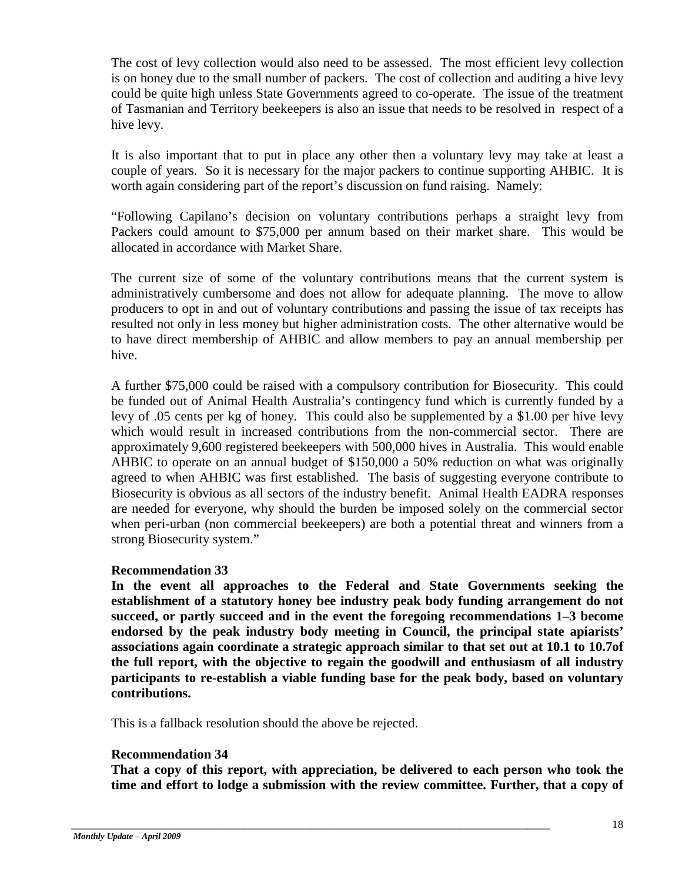The cost of levy collection would also need to be assessed. The most efficient levy collection is on honey due to the small number of packers. The cost of collection and auditing a hive levy could be quite high unless State Governments agreed to co-operate. The issue of the treatment of Tasmanian and Territory beekeepers is also an issue that needs to be resolved in respect of a hive levy.

It is also important that to put in place any other then a voluntary levy may take at least a couple of years. So it is necessary for the major packers to continue supporting AHBIC. It is worth again considering part of the report's discussion on fund raising. Namely:

"Following Capilano's decision on voluntary contributions perhaps a straight levy from Packers could amount to \$75,000 per annum based on their market share. This would be allocated in accordance with Market Share.

The current size of some of the voluntary contributions means that the current system is administratively cumbersome and does not allow for adequate planning. The move to allow producers to opt in and out of voluntary contributions and passing the issue of tax receipts has resulted not only in less money but higher administration costs. The other alternative would be to have direct membership of AHBIC and allow members to pay an annual membership per hive.

A further \$75,000 could be raised with a compulsory contribution for Biosecurity. This could be funded out of Animal Health Australia's contingency fund which is currently funded by a levy of .05 cents per kg of honey. This could also be supplemented by a \$1.00 per hive levy which would result in increased contributions from the non-commercial sector. There are approximately 9,600 registered beekeepers with 500,000 hives in Australia. This would enable AHBIC to operate on an annual budget of \$150,000 a 50% reduction on what was originally agreed to when AHBIC was first established. The basis of suggesting everyone contribute to Biosecurity is obvious as all sectors of the industry benefit. Animal Health EADRA responses are needed for everyone, why should the burden be imposed solely on the commercial sector when peri-urban (non commercial beekeepers) are both a potential threat and winners from a strong Biosecurity system."

# **Recommendation 33**

**In the event all approaches to the Federal and State Governments seeking the establishment of a statutory honey bee industry peak body funding arrangement do not succeed, or partly succeed and in the event the foregoing recommendations 1–3 become endorsed by the peak industry body meeting in Council, the principal state apiarists' associations again coordinate a strategic approach similar to that set out at 10.1 to 10.7of the full report, with the objective to regain the goodwill and enthusiasm of all industry participants to re-establish a viable funding base for the peak body, based on voluntary contributions.** 

This is a fallback resolution should the above be rejected.

\_\_\_\_\_\_\_\_\_\_\_\_\_\_\_\_\_\_\_\_\_\_\_\_\_\_\_\_\_\_\_\_\_\_\_\_\_\_\_\_\_\_\_\_\_\_\_\_\_\_\_\_\_\_\_\_\_\_\_\_\_\_\_\_\_\_\_\_\_\_\_\_\_\_\_\_\_\_\_\_\_\_\_\_\_\_

# **Recommendation 34**

**That a copy of this report, with appreciation, be delivered to each person who took the time and effort to lodge a submission with the review committee. Further, that a copy of**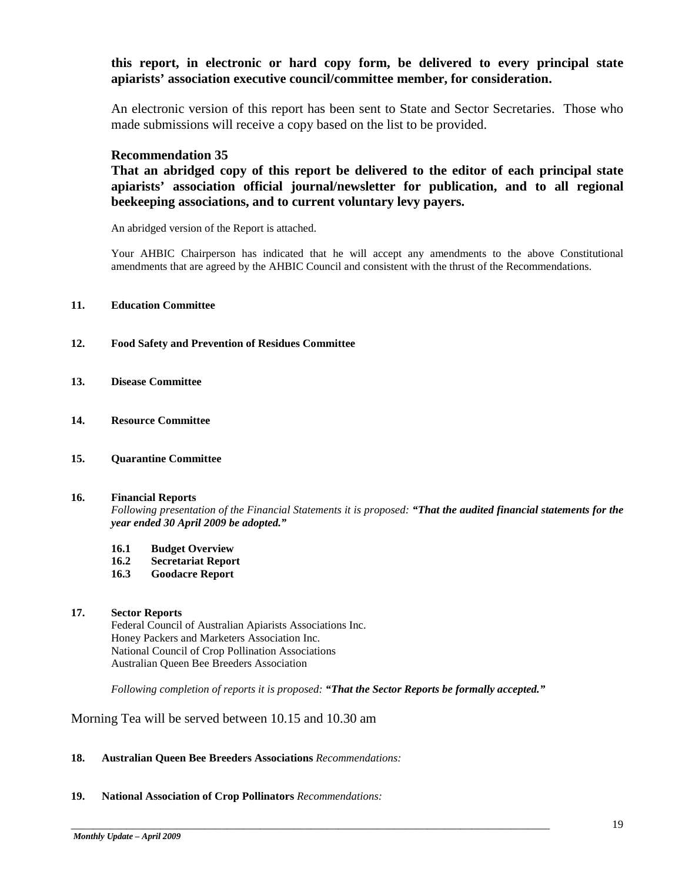## **this report, in electronic or hard copy form, be delivered to every principal state apiarists' association executive council/committee member, for consideration.**

An electronic version of this report has been sent to State and Sector Secretaries. Those who made submissions will receive a copy based on the list to be provided.

#### **Recommendation 35**

**That an abridged copy of this report be delivered to the editor of each principal state apiarists' association official journal/newsletter for publication, and to all regional beekeeping associations, and to current voluntary levy payers.** 

An abridged version of the Report is attached.

Your AHBIC Chairperson has indicated that he will accept any amendments to the above Constitutional amendments that are agreed by the AHBIC Council and consistent with the thrust of the Recommendations.

#### **11. Education Committee**

- **12. Food Safety and Prevention of Residues Committee**
- **13. Disease Committee**
- **14. Resource Committee**
- **15. Quarantine Committee**

#### **16. Financial Reports**

*Following presentation of the Financial Statements it is proposed: "That the audited financial statements for the year ended 30 April 2009 be adopted."*

- **16.1 Budget Overview**
- **16.2 Secretariat Report**
- **16.3 Goodacre Report**

#### **17. Sector Reports**

Federal Council of Australian Apiarists Associations Inc. Honey Packers and Marketers Association Inc. National Council of Crop Pollination Associations Australian Queen Bee Breeders Association

*Following completion of reports it is proposed: "That the Sector Reports be formally accepted."*

\_\_\_\_\_\_\_\_\_\_\_\_\_\_\_\_\_\_\_\_\_\_\_\_\_\_\_\_\_\_\_\_\_\_\_\_\_\_\_\_\_\_\_\_\_\_\_\_\_\_\_\_\_\_\_\_\_\_\_\_\_\_\_\_\_\_\_\_\_\_\_\_\_\_\_\_\_\_\_\_\_\_\_\_\_\_

Morning Tea will be served between 10.15 and 10.30 am

#### **18. Australian Queen Bee Breeders Associations** *Recommendations:*

#### **19. National Association of Crop Pollinators** *Recommendations:*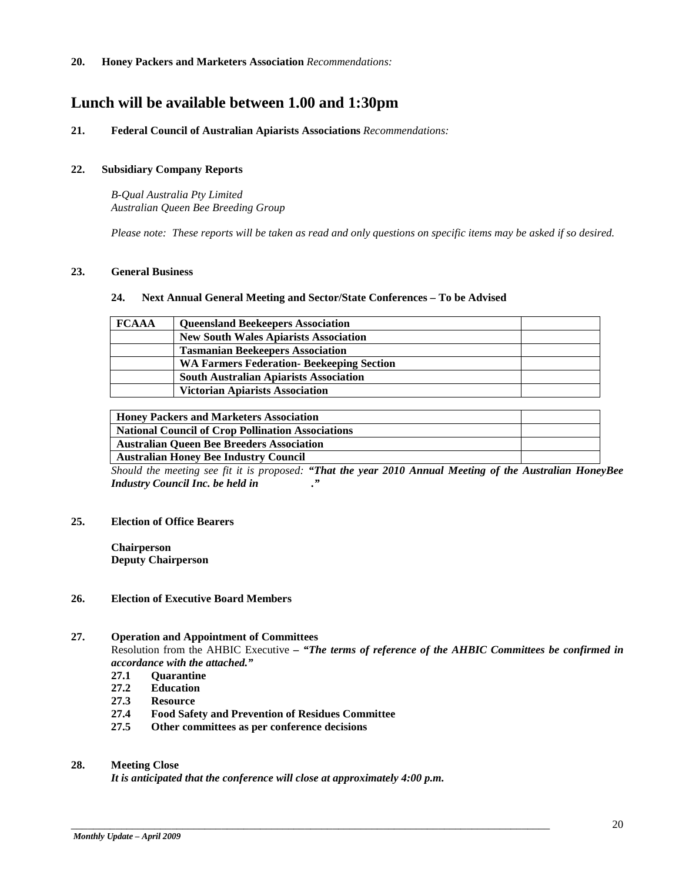# **Lunch will be available between 1.00 and 1:30pm**

#### **21. Federal Council of Australian Apiarists Associations** *Recommendations:*

#### **22. Subsidiary Company Reports**

*B-Qual Australia Pty Limited Australian Queen Bee Breeding Group*

*Please note: These reports will be taken as read and only questions on specific items may be asked if so desired.*

#### **23. General Business**

#### **24. Next Annual General Meeting and Sector/State Conferences – To be Advised**

| <b>FCAAA</b> | <b>Queensland Beekeepers Association</b>         |  |
|--------------|--------------------------------------------------|--|
|              | <b>New South Wales Apiarists Association</b>     |  |
|              | <b>Tasmanian Beekeepers Association</b>          |  |
|              | <b>WA Farmers Federation- Beekeeping Section</b> |  |
|              | <b>South Australian Apiarists Association</b>    |  |
|              | <b>Victorian Apiarists Association</b>           |  |

| <b>Honey Packers and Marketers Association</b>           |  |
|----------------------------------------------------------|--|
| <b>National Council of Crop Pollination Associations</b> |  |
| <b>Australian Queen Bee Breeders Association</b>         |  |
| <b>Australian Honey Bee Industry Council</b>             |  |

*Should the meeting see fit it is proposed: "That the year 2010 Annual Meeting of the Australian HoneyBee Industry Council Inc. be held in ."*

#### **25. Election of Office Bearers**

**Chairperson Deputy Chairperson**

#### **26. Election of Executive Board Members**

#### **27. Operation and Appointment of Committees**

Resolution from the AHBIC Executive *– "The terms of reference of the AHBIC Committees be confirmed in accordance with the attached."*

- **27.1 Quarantine**
- **27.2 Education**
- **27.3 Resource**
- **27.4 Food Safety and Prevention of Residues Committee**
- **27.5 Other committees as per conference decisions**

#### **28. Meeting Close**

*It is anticipated that the conference will close at approximately 4:00 p.m.*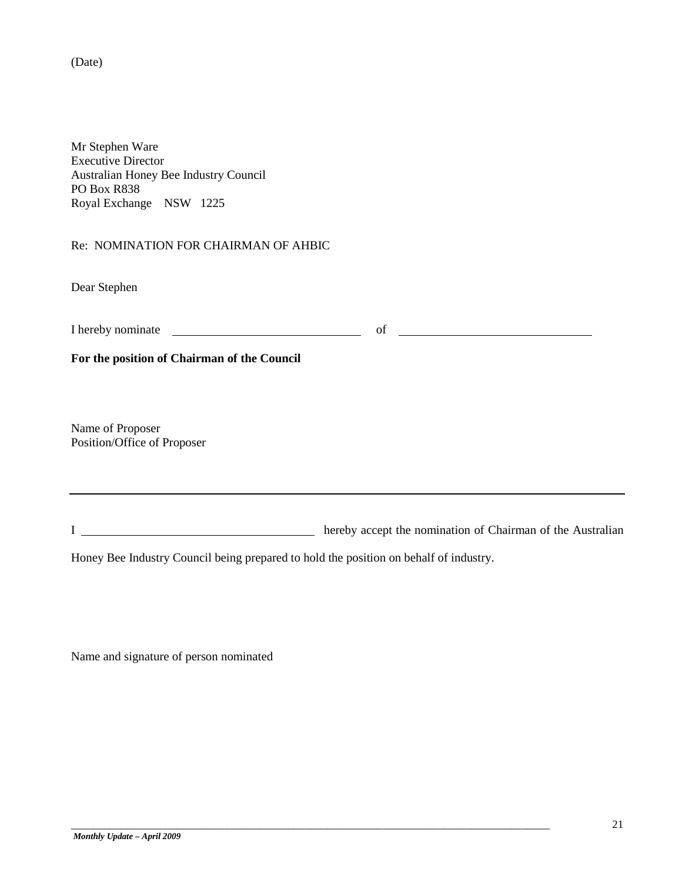(Date)

Mr Stephen Ware Executive Director Australian Honey Bee Industry Council PO Box R838 Royal Exchange NSW 1225

Re: NOMINATION FOR CHAIRMAN OF AHBIC

Dear Stephen

I hereby nominate <u>example and the contract of</u> of <u>contract of</u> of the contract of the contract of the contract of the contract of the contract of the contract of the contract of the contract of the contract of the contra

**For the position of Chairman of the Council**

Name of Proposer Position/Office of Proposer

I hereby accept the nomination of Chairman of the Australian

Honey Bee Industry Council being prepared to hold the position on behalf of industry.

\_\_\_\_\_\_\_\_\_\_\_\_\_\_\_\_\_\_\_\_\_\_\_\_\_\_\_\_\_\_\_\_\_\_\_\_\_\_\_\_\_\_\_\_\_\_\_\_\_\_\_\_\_\_\_\_\_\_\_\_\_\_\_\_\_\_\_\_\_\_\_\_\_\_\_\_\_\_\_\_\_\_\_\_\_\_

Name and signature of person nominated